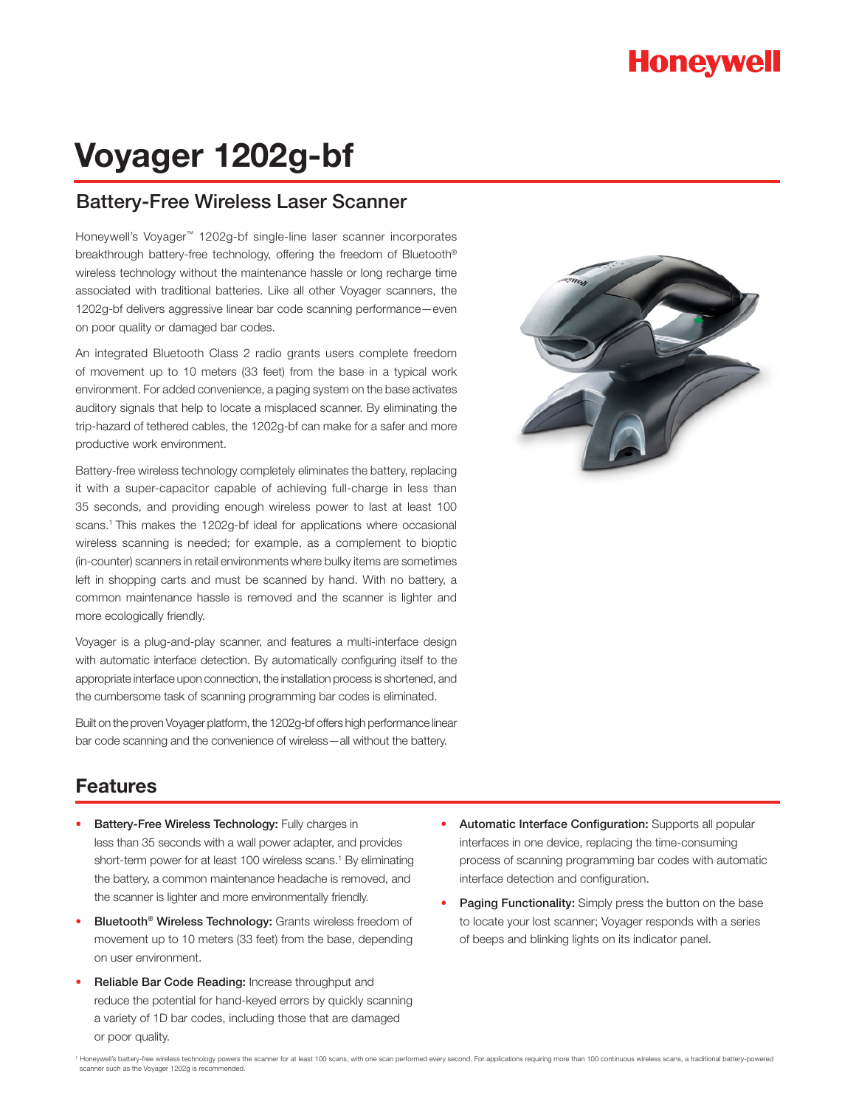# **Honeywell**

# **Voyager 1202g-bf**

### Battery-Free Wireless Laser Scanner

Honeywell's Voyager™ 1202g-bf single-line laser scanner incorporates breakthrough battery-free technology, offering the freedom of Bluetooth® wireless technology without the maintenance hassle or long recharge time associated with traditional batteries. Like all other Voyager scanners, the 1202g-bf delivers aggressive linear bar code scanning performance—even on poor quality or damaged bar codes.

An integrated Bluetooth Class 2 radio grants users complete freedom of movement up to 10 meters (33 feet) from the base in a typical work environment. For added convenience, a paging system on the base activates auditory signals that help to locate a misplaced scanner. By eliminating the trip-hazard of tethered cables, the 1202g-bf can make for a safer and more productive work environment.

Battery-free wireless technology completely eliminates the battery, replacing it with a super-capacitor capable of achieving full-charge in less than 35 seconds, and providing enough wireless power to last at least 100 scans.<sup>1</sup> This makes the 1202g-bf ideal for applications where occasional wireless scanning is needed; for example, as a complement to bioptic (in-counter) scanners in retail environments where bulky items are sometimes left in shopping carts and must be scanned by hand. With no battery, a common maintenance hassle is removed and the scanner is lighter and more ecologically friendly.

Voyager is a plug-and-play scanner, and features a multi-interface design with automatic interface detection. By automatically configuring itself to the appropriate interface upon connection, the installation process is shortened, and the cumbersome task of scanning programming bar codes is eliminated.

Built on the proven Voyager platform, the 1202g-bf offers high performance linear bar code scanning and the convenience of wireless—all without the battery.



### **Features**

- **Battery-Free Wireless Technology: Fully charges in** less than 35 seconds with a wall power adapter, and provides short-term power for at least 100 wireless scans.<sup>1</sup> By eliminating the battery, a common maintenance headache is removed, and the scanner is lighter and more environmentally friendly.
- Bluetooth® Wireless Technology: Grants wireless freedom of movement up to 10 meters (33 feet) from the base, depending on user environment.
- Reliable Bar Code Reading: Increase throughput and reduce the potential for hand-keyed errors by quickly scanning a variety of 1D bar codes, including those that are damaged or poor quality.
- Automatic Interface Configuration: Supports all popular interfaces in one device, replacing the time-consuming process of scanning programming bar codes with automatic interface detection and configuration.
- Paging Functionality: Simply press the button on the base to locate your lost scanner; Voyager responds with a series of beeps and blinking lights on its indicator panel.

1 Honeywell's battery-free wireless technology powers the scanner for at least 100 scans, with one scan performed every second. For applications requiring more than 100 continuous wireless scans, a traditional battery-powe scanner such as the Voyager 1202g is recommended.